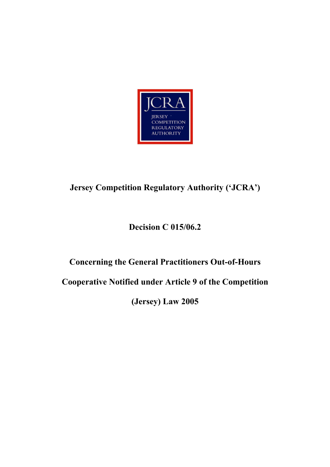

# **Jersey Competition Regulatory Authority ('JCRA')**

# **Decision C 015/06.2**

# **Concerning the General Practitioners Out-of-Hours**

**Cooperative Notified under Article 9 of the Competition** 

**(Jersey) Law 2005**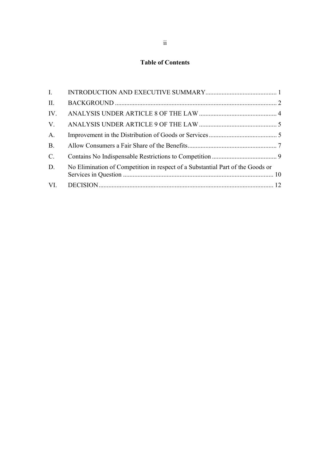## **Table of Contents**

| $\mathbf{I}$   |                                                                                |  |
|----------------|--------------------------------------------------------------------------------|--|
| II.            |                                                                                |  |
| IV.            |                                                                                |  |
| $V_{\cdot}$    |                                                                                |  |
| A.             |                                                                                |  |
| B <sub>1</sub> |                                                                                |  |
| $C_{\cdot}$    |                                                                                |  |
| D.             | No Elimination of Competition in respect of a Substantial Part of the Goods or |  |
| VI.            |                                                                                |  |
|                |                                                                                |  |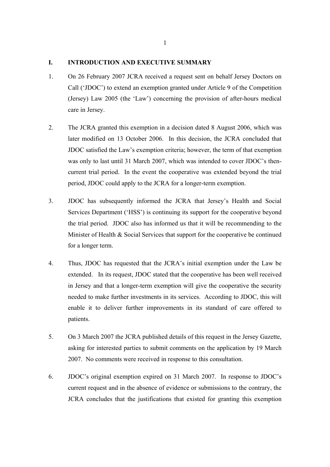#### **I. INTRODUCTION AND EXECUTIVE SUMMARY**

- 1. On 26 February 2007 JCRA received a request sent on behalf Jersey Doctors on Call ('JDOC') to extend an exemption granted under Article 9 of the Competition (Jersey) Law 2005 (the 'Law') concerning the provision of after-hours medical care in Jersey.
- 2. The JCRA granted this exemption in a decision dated 8 August 2006, which was later modified on 13 October 2006. In this decision, the JCRA concluded that JDOC satisfied the Law's exemption criteria; however, the term of that exemption was only to last until 31 March 2007, which was intended to cover JDOC's thencurrent trial period. In the event the cooperative was extended beyond the trial period, JDOC could apply to the JCRA for a longer-term exemption.
- 3. JDOC has subsequently informed the JCRA that Jersey's Health and Social Services Department ('HSS') is continuing its support for the cooperative beyond the trial period. JDOC also has informed us that it will be recommending to the Minister of Health  $& Social Services$  that support for the cooperative be continued for a longer term.
- 4. Thus, JDOC has requested that the JCRA's initial exemption under the Law be extended. In its request, JDOC stated that the cooperative has been well received in Jersey and that a longer-term exemption will give the cooperative the security needed to make further investments in its services. According to JDOC, this will enable it to deliver further improvements in its standard of care offered to patients.
- 5. On 3 March 2007 the JCRA published details of this request in the Jersey Gazette, asking for interested parties to submit comments on the application by 19 March 2007. No comments were received in response to this consultation.
- 6. JDOC's original exemption expired on 31 March 2007. In response to JDOC's current request and in the absence of evidence or submissions to the contrary, the JCRA concludes that the justifications that existed for granting this exemption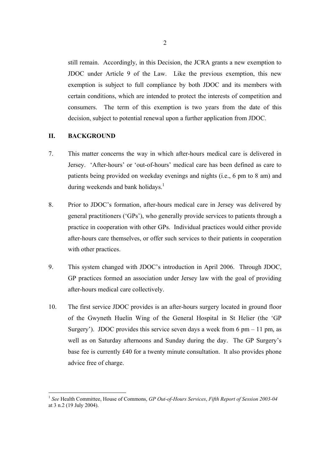still remain. Accordingly, in this Decision, the JCRA grants a new exemption to JDOC under Article 9 of the Law. Like the previous exemption, this new exemption is subject to full compliance by both JDOC and its members with certain conditions, which are intended to protect the interests of competition and consumers. The term of this exemption is two years from the date of this decision, subject to potential renewal upon a further application from JDOC.

#### **II. BACKGROUND**

- 7. This matter concerns the way in which after-hours medical care is delivered in Jersey. 'After-hours' or 'out-of-hours' medical care has been defined as care to patients being provided on weekday evenings and nights (i.e., 6 pm to 8 am) and during weekends and bank holidays. $<sup>1</sup>$ </sup>
- 8. Prior to JDOC's formation, after-hours medical care in Jersey was delivered by general practitioners ('GPs'), who generally provide services to patients through a practice in cooperation with other GPs. Individual practices would either provide after-hours care themselves, or offer such services to their patients in cooperation with other practices.
- 9. This system changed with JDOC's introduction in April 2006. Through JDOC, GP practices formed an association under Jersey law with the goal of providing after-hours medical care collectively.
- 10. The first service JDOC provides is an after-hours surgery located in ground floor of the Gwyneth Huelin Wing of the General Hospital in St Helier (the 'GP Surgery'). JDOC provides this service seven days a week from  $6 \text{ pm} - 11 \text{ pm}$ , as well as on Saturday afternoons and Sunday during the day. The GP Surgery's base fee is currently £40 for a twenty minute consultation. It also provides phone advice free of charge.

<sup>1</sup> *See* Health Committee, House of Commons, *GP Out-of-Hours Services*, *Fifth Report of Session 2003-04* at 3 n.2 (19 July 2004).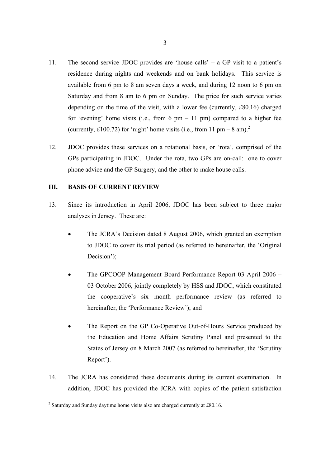- 11. The second service JDOC provides are 'house calls' a GP visit to a patient's residence during nights and weekends and on bank holidays. This service is available from 6 pm to 8 am seven days a week, and during 12 noon to 6 pm on Saturday and from 8 am to 6 pm on Sunday. The price for such service varies depending on the time of the visit, with a lower fee (currently, £80.16) charged for 'evening' home visits (i.e., from 6 pm  $-11$  pm) compared to a higher fee (currently, £100.72) for 'night' home visits (i.e., from 11 pm – 8 am).<sup>2</sup>
- 12. JDOC provides these services on a rotational basis, or 'rota', comprised of the GPs participating in JDOC. Under the rota, two GPs are on-call: one to cover phone advice and the GP Surgery, and the other to make house calls.

#### **III. BASIS OF CURRENT REVIEW**

- 13. Since its introduction in April 2006, JDOC has been subject to three major analyses in Jersey. These are:
	- The JCRA's Decision dated 8 August 2006, which granted an exemption to JDOC to cover its trial period (as referred to hereinafter, the 'Original Decision');
	- The GPCOOP Management Board Performance Report 03 April 2006 03 October 2006, jointly completely by HSS and JDOC, which constituted the cooperative's six month performance review (as referred to hereinafter, the 'Performance Review'); and
	- The Report on the GP Co-Operative Out-of-Hours Service produced by the Education and Home Affairs Scrutiny Panel and presented to the States of Jersey on 8 March 2007 (as referred to hereinafter, the 'Scrutiny Report').
- 14. The JCRA has considered these documents during its current examination. In addition, JDOC has provided the JCRA with copies of the patient satisfaction

 $2^2$  Saturday and Sunday daytime home visits also are charged currently at £80.16.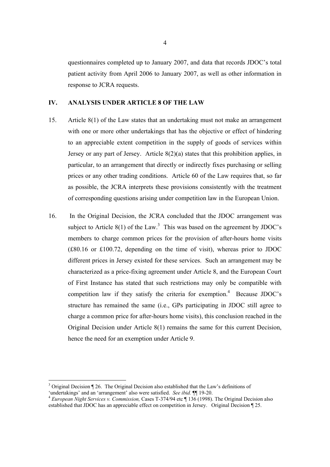questionnaires completed up to January 2007, and data that records JDOC's total patient activity from April 2006 to January 2007, as well as other information in response to JCRA requests.

#### **IV. ANALYSIS UNDER ARTICLE 8 OF THE LAW**

- 15. Article 8(1) of the Law states that an undertaking must not make an arrangement with one or more other undertakings that has the objective or effect of hindering to an appreciable extent competition in the supply of goods of services within Jersey or any part of Jersey. Article 8(2)(a) states that this prohibition applies, in particular, to an arrangement that directly or indirectly fixes purchasing or selling prices or any other trading conditions. Article 60 of the Law requires that, so far as possible, the JCRA interprets these provisions consistently with the treatment of corresponding questions arising under competition law in the European Union.
- 16. In the Original Decision, the JCRA concluded that the JDOC arrangement was subject to Article  $8(1)$  of the Law.<sup>3</sup> This was based on the agreement by JDOC's members to charge common prices for the provision of after-hours home visits (£80.16 or £100.72, depending on the time of visit), whereas prior to JDOC different prices in Jersey existed for these services. Such an arrangement may be characterized as a price-fixing agreement under Article 8, and the European Court of First Instance has stated that such restrictions may only be compatible with competition law if they satisfy the criteria for exemption.<sup>4</sup> Because JDOC's structure has remained the same (i.e., GPs participating in JDOC still agree to charge a common price for after-hours home visits), this conclusion reached in the Original Decision under Article 8(1) remains the same for this current Decision, hence the need for an exemption under Article 9.

<sup>&</sup>lt;sup>3</sup> Original Decision ¶ 26. The Original Decision also established that the Law's definitions of

<sup>&#</sup>x27;undertakings' and an 'arrangement' also were satisfied. *See ibid.* ¶¶ 19-20. 4 *European Night Services v. Commission,* Cases T-374/94 etc ¶ 136 (1998). The Original Decision also established that JDOC has an appreciable effect on competition in Jersey. Original Decision ¶ 25.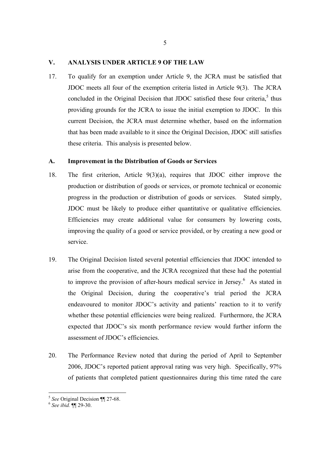#### **V. ANALYSIS UNDER ARTICLE 9 OF THE LAW**

17. To qualify for an exemption under Article 9, the JCRA must be satisfied that JDOC meets all four of the exemption criteria listed in Article 9(3). The JCRA concluded in the Original Decision that JDOC satisfied these four criteria, $5$  thus providing grounds for the JCRA to issue the initial exemption to JDOC. In this current Decision, the JCRA must determine whether, based on the information that has been made available to it since the Original Decision, JDOC still satisfies these criteria. This analysis is presented below.

### **A. Improvement in the Distribution of Goods or Services**

- 18. The first criterion, Article 9(3)(a), requires that JDOC either improve the production or distribution of goods or services, or promote technical or economic progress in the production or distribution of goods or services. Stated simply, JDOC must be likely to produce either quantitative or qualitative efficiencies. Efficiencies may create additional value for consumers by lowering costs, improving the quality of a good or service provided, or by creating a new good or service.
- 19. The Original Decision listed several potential efficiencies that JDOC intended to arise from the cooperative, and the JCRA recognized that these had the potential to improve the provision of after-hours medical service in Jersey.<sup>6</sup> As stated in the Original Decision, during the cooperative's trial period the JCRA endeavoured to monitor JDOC's activity and patients' reaction to it to verify whether these potential efficiencies were being realized. Furthermore, the JCRA expected that JDOC's six month performance review would further inform the assessment of JDOC's efficiencies.
- 20. The Performance Review noted that during the period of April to September 2006, JDOC's reported patient approval rating was very high. Specifically, 97% of patients that completed patient questionnaires during this time rated the care

<sup>5</sup> *See* Original Decision ¶¶ 27-68. 6 *See ibid.* ¶¶ 29-30.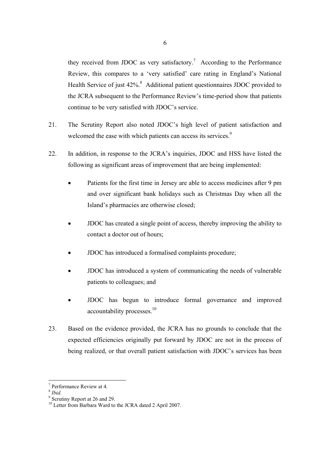they received from JDOC as very satisfactory.<sup>7</sup> According to the Performance Review, this compares to a 'very satisfied' care rating in England's National Health Service of just 42%.<sup>8</sup> Additional patient questionnaires JDOC provided to the JCRA subsequent to the Performance Review's time-period show that patients continue to be very satisfied with JDOC's service.

- 21. The Scrutiny Report also noted JDOC's high level of patient satisfaction and welcomed the ease with which patients can access its services.<sup>9</sup>
- 22. In addition, in response to the JCRA's inquiries, JDOC and HSS have listed the following as significant areas of improvement that are being implemented:
	- Patients for the first time in Jersey are able to access medicines after 9 pm and over significant bank holidays such as Christmas Day when all the Island's pharmacies are otherwise closed;
	- JDOC has created a single point of access, thereby improving the ability to contact a doctor out of hours;
	- JDOC has introduced a formalised complaints procedure;
	- JDOC has introduced a system of communicating the needs of vulnerable patients to colleagues; and
	- JDOC has begun to introduce formal governance and improved accountability processes.<sup>10</sup>
- 23. Based on the evidence provided, the JCRA has no grounds to conclude that the expected efficiencies originally put forward by JDOC are not in the process of being realized, or that overall patient satisfaction with JDOC's services has been

<sup>8</sup> *Ibid.*

<sup>7</sup> Performance Review at 4.

<sup>&</sup>lt;sup>9</sup> Scrutiny Report at 26 and 29.

<sup>&</sup>lt;sup>10</sup> Letter from Barbara Ward to the JCRA dated 2 April 2007.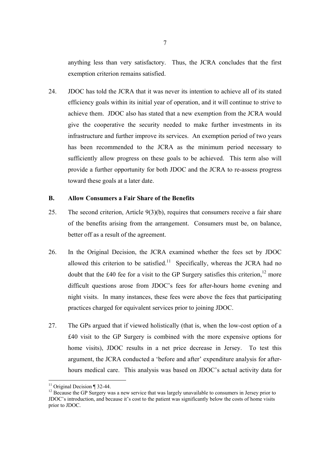anything less than very satisfactory. Thus, the JCRA concludes that the first exemption criterion remains satisfied.

24. JDOC has told the JCRA that it was never its intention to achieve all of its stated efficiency goals within its initial year of operation, and it will continue to strive to achieve them. JDOC also has stated that a new exemption from the JCRA would give the cooperative the security needed to make further investments in its infrastructure and further improve its services. An exemption period of two years has been recommended to the JCRA as the minimum period necessary to sufficiently allow progress on these goals to be achieved. This term also will provide a further opportunity for both JDOC and the JCRA to re-assess progress toward these goals at a later date.

### **B. Allow Consumers a Fair Share of the Benefits**

- 25. The second criterion, Article 9(3)(b), requires that consumers receive a fair share of the benefits arising from the arrangement. Consumers must be, on balance, better off as a result of the agreement.
- 26. In the Original Decision, the JCRA examined whether the fees set by JDOC allowed this criterion to be satisfied.<sup>11</sup> Specifically, whereas the JCRA had no doubt that the £40 fee for a visit to the GP Surgery satisfies this criterion,<sup>12</sup> more difficult questions arose from JDOC's fees for after-hours home evening and night visits. In many instances, these fees were above the fees that participating practices charged for equivalent services prior to joining JDOC.
- 27. The GPs argued that if viewed holistically (that is, when the low-cost option of a £40 visit to the GP Surgery is combined with the more expensive options for home visits), JDOC results in a net price decrease in Jersey. To test this argument, the JCRA conducted a 'before and after' expenditure analysis for afterhours medical care. This analysis was based on JDOC's actual activity data for

 $11$  Original Decision ¶ 32-44.

<sup>&</sup>lt;sup>12</sup> Because the GP Surgery was a new service that was largely unavailable to consumers in Jersey prior to JDOC's introduction, and because it's cost to the patient was significantly below the costs of home visits prior to JDOC.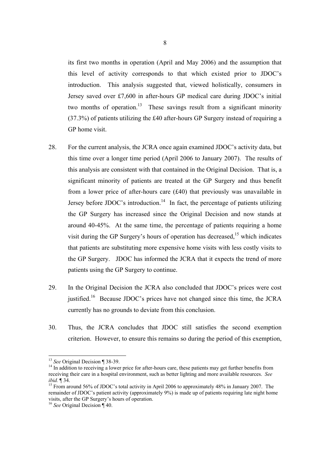its first two months in operation (April and May 2006) and the assumption that this level of activity corresponds to that which existed prior to JDOC's introduction. This analysis suggested that, viewed holistically, consumers in Jersey saved over £7,600 in after-hours GP medical care during JDOC's initial two months of operation.<sup>13</sup> These savings result from a significant minority (37.3%) of patients utilizing the £40 after-hours GP Surgery instead of requiring a GP home visit.

- 28. For the current analysis, the JCRA once again examined JDOC's activity data, but this time over a longer time period (April 2006 to January 2007). The results of this analysis are consistent with that contained in the Original Decision. That is, a significant minority of patients are treated at the GP Surgery and thus benefit from a lower price of after-hours care (£40) that previously was unavailable in Jersey before JDOC's introduction.<sup>14</sup> In fact, the percentage of patients utilizing the GP Surgery has increased since the Original Decision and now stands at around 40-45%. At the same time, the percentage of patients requiring a home visit during the GP Surgery's hours of operation has decreased,  $15$  which indicates that patients are substituting more expensive home visits with less costly visits to the GP Surgery. JDOC has informed the JCRA that it expects the trend of more patients using the GP Surgery to continue.
- 29. In the Original Decision the JCRA also concluded that JDOC's prices were cost justified.<sup>16</sup> Because JDOC's prices have not changed since this time, the JCRA currently has no grounds to deviate from this conclusion.
- 30. Thus, the JCRA concludes that JDOC still satisfies the second exemption criterion. However, to ensure this remains so during the period of this exemption,

<sup>&</sup>lt;sup>13</sup> See Original Decision ¶ 38-39.

<sup>&</sup>lt;sup>14</sup> In addition to receiving a lower price for after-hours care, these patients may get further benefits from receiving their care in a hospital environment, such as better lighting and more available resources. *See ibid.* ¶ 34.<br><sup>15</sup> From around 56% of JDOC's total activity in April 2006 to approximately 48% in January 2007. The

remainder of JDOC's patient activity (approximately 9%) is made up of patients requiring late night home visits, after the GP Surgery's hours of operation.

<sup>16</sup> *See* Original Decision ¶ 40.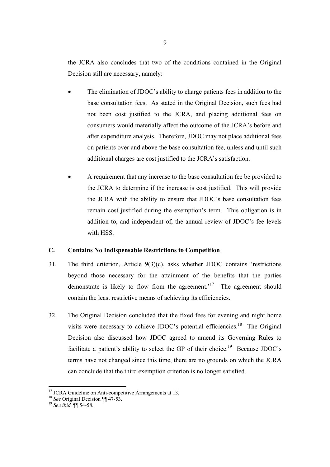the JCRA also concludes that two of the conditions contained in the Original Decision still are necessary, namely:

- The elimination of JDOC's ability to charge patients fees in addition to the base consultation fees. As stated in the Original Decision, such fees had not been cost justified to the JCRA, and placing additional fees on consumers would materially affect the outcome of the JCRA's before and after expenditure analysis. Therefore, JDOC may not place additional fees on patients over and above the base consultation fee, unless and until such additional charges are cost justified to the JCRA's satisfaction.
- A requirement that any increase to the base consultation fee be provided to the JCRA to determine if the increase is cost justified. This will provide the JCRA with the ability to ensure that JDOC's base consultation fees remain cost justified during the exemption's term. This obligation is in addition to, and independent of, the annual review of JDOC's fee levels with HSS.

#### **C. Contains No Indispensable Restrictions to Competition**

- 31. The third criterion, Article 9(3)(c), asks whether JDOC contains 'restrictions beyond those necessary for the attainment of the benefits that the parties demonstrate is likely to flow from the agreement.<sup> $17$ </sup> The agreement should contain the least restrictive means of achieving its efficiencies.
- 32. The Original Decision concluded that the fixed fees for evening and night home visits were necessary to achieve JDOC's potential efficiencies.<sup>18</sup> The Original Decision also discussed how JDOC agreed to amend its Governing Rules to facilitate a patient's ability to select the GP of their choice.<sup>19</sup> Because JDOC's terms have not changed since this time, there are no grounds on which the JCRA can conclude that the third exemption criterion is no longer satisfied.

 $17$  JCRA Guideline on Anti-competitive Arrangements at 13.

<sup>18</sup> *See* Original Decision ¶¶ 47-53. 19 *See ibid.* ¶¶ 54-58.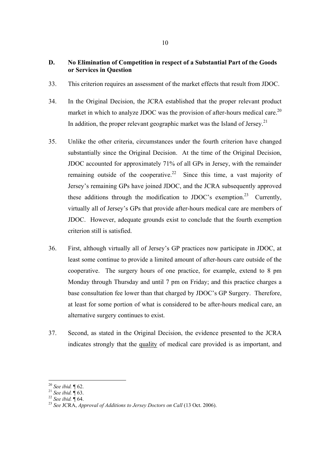### **D. No Elimination of Competition in respect of a Substantial Part of the Goods or Services in Question**

- 33. This criterion requires an assessment of the market effects that result from JDOC.
- 34. In the Original Decision, the JCRA established that the proper relevant product market in which to analyze JDOC was the provision of after-hours medical care.<sup>20</sup> In addition, the proper relevant geographic market was the Island of Jersey.<sup>21</sup>
- 35. Unlike the other criteria, circumstances under the fourth criterion have changed substantially since the Original Decision. At the time of the Original Decision, JDOC accounted for approximately 71% of all GPs in Jersey, with the remainder remaining outside of the cooperative.<sup>22</sup> Since this time, a vast majority of Jersey's remaining GPs have joined JDOC, and the JCRA subsequently approved these additions through the modification to JDOC's exemption.<sup>23</sup> Currently, virtually all of Jersey's GPs that provide after-hours medical care are members of JDOC. However, adequate grounds exist to conclude that the fourth exemption criterion still is satisfied.
- 36. First, although virtually all of Jersey's GP practices now participate in JDOC, at least some continue to provide a limited amount of after-hours care outside of the cooperative. The surgery hours of one practice, for example, extend to 8 pm Monday through Thursday and until 7 pm on Friday; and this practice charges a base consultation fee lower than that charged by JDOC's GP Surgery. Therefore, at least for some portion of what is considered to be after-hours medical care, an alternative surgery continues to exist.
- 37. Second, as stated in the Original Decision, the evidence presented to the JCRA indicates strongly that the quality of medical care provided is as important, and

<sup>&</sup>lt;sup>20</sup> See ibid.  $\P$  62.

<sup>20</sup> *See ibid.* ¶ 62. 21 *See ibid.* ¶ 63. 22 *See ibid.* ¶ 64. 23 *See* JCRA, *Approval of Additions to Jersey Doctors on Call* (13 Oct. 2006).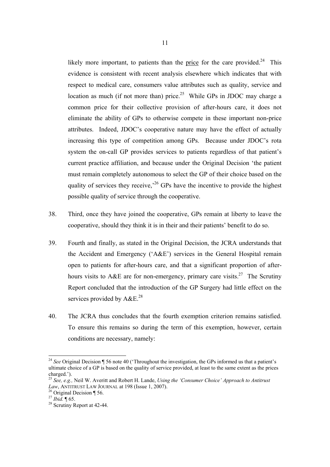likely more important, to patients than the price for the care provided.<sup>24</sup> This evidence is consistent with recent analysis elsewhere which indicates that with respect to medical care, consumers value attributes such as quality, service and location as much (if not more than) price.<sup>25</sup> While GPs in JDOC may charge a common price for their collective provision of after-hours care, it does not eliminate the ability of GPs to otherwise compete in these important non-price attributes. Indeed, JDOC's cooperative nature may have the effect of actually increasing this type of competition among GPs. Because under JDOC's rota system the on-call GP provides services to patients regardless of that patient's current practice affiliation, and because under the Original Decision 'the patient must remain completely autonomous to select the GP of their choice based on the quality of services they receive,<sup> $26$ </sup> GPs have the incentive to provide the highest possible quality of service through the cooperative.

- 38. Third, once they have joined the cooperative, GPs remain at liberty to leave the cooperative, should they think it is in their and their patients' benefit to do so.
- 39. Fourth and finally, as stated in the Original Decision, the JCRA understands that the Accident and Emergency ('A&E') services in the General Hospital remain open to patients for after-hours care, and that a significant proportion of afterhours visits to A&E are for non-emergency, primary care visits.<sup>27</sup> The Scrutiny Report concluded that the introduction of the GP Surgery had little effect on the services provided by  $A&E^{28}$ .
- 40. The JCRA thus concludes that the fourth exemption criterion remains satisfied. To ensure this remains so during the term of this exemption, however, certain conditions are necessary, namely:

<sup>&</sup>lt;sup>24</sup> See Original Decision ¶ 56 note 40 ('Throughout the investigation, the GPs informed us that a patient's ultimate choice of a GP is based on the quality of service provided, at least to the same extent as the prices charged.').

<sup>25</sup> *See, e.g.,* Neil W. Averitt and Robert H. Lande, *Using the 'Consumer Choice' Approach to Antitrust Law*, ANTITRUST LAW JOURNAL at 198 (Issue 1, 2007).<br><sup>26</sup> Original Decision ¶ 56.<br><sup>27</sup> *Ibid.* ¶ 65.

<sup>&</sup>lt;sup>28</sup> Scrutiny Report at 42-44.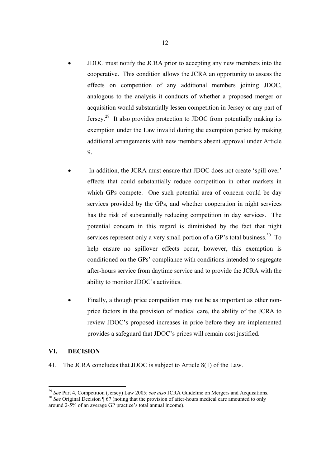- JDOC must notify the JCRA prior to accepting any new members into the cooperative. This condition allows the JCRA an opportunity to assess the effects on competition of any additional members joining JDOC, analogous to the analysis it conducts of whether a proposed merger or acquisition would substantially lessen competition in Jersey or any part of Jersey.29 It also provides protection to JDOC from potentially making its exemption under the Law invalid during the exemption period by making additional arrangements with new members absent approval under Article 9.
- In addition, the JCRA must ensure that JDOC does not create 'spill over' effects that could substantially reduce competition in other markets in which GPs compete. One such potential area of concern could be day services provided by the GPs, and whether cooperation in night services has the risk of substantially reducing competition in day services. The potential concern in this regard is diminished by the fact that night services represent only a very small portion of a GP's total business.<sup>30</sup> To help ensure no spillover effects occur, however, this exemption is conditioned on the GPs' compliance with conditions intended to segregate after-hours service from daytime service and to provide the JCRA with the ability to monitor JDOC's activities.
- Finally, although price competition may not be as important as other nonprice factors in the provision of medical care, the ability of the JCRA to review JDOC's proposed increases in price before they are implemented provides a safeguard that JDOC's prices will remain cost justified.

### **VI. DECISION**

41. The JCRA concludes that JDOC is subject to Article 8(1) of the Law.

<sup>&</sup>lt;sup>29</sup> *See* Part 4, Competition (Jersey) Law 2005; *see also* JCRA Guideline on Mergers and Acquisitions. <sup>30</sup> *See* Original Decision ¶ 67 (noting that the provision of after-hours medical care amounted to only around 2-5% of an average GP practice's total annual income).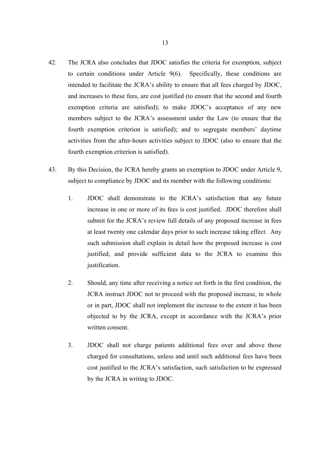- 42. The JCRA also concludes that JDOC satisfies the criteria for exemption, subject to certain conditions under Article 9(6). Specifically, these conditions are intended to facilitate the JCRA's ability to ensure that all fees charged by JDOC, and increases to these fees, are cost justified (to ensure that the second and fourth exemption criteria are satisfied); to make JDOC's acceptance of any new members subject to the JCRA's assessment under the Law (to ensure that the fourth exemption criterion is satisfied); and to segregate members' daytime activities from the after-hours activities subject to JDOC (also to ensure that the fourth exemption criterion is satisfied).
- 43. By this Decision, the JCRA hereby grants an exemption to JDOC under Article 9, subject to compliance by JDOC and its member with the following conditions:
	- 1. JDOC shall demonstrate to the JCRA's satisfaction that any future increase in one or more of its fees is cost justified. JDOC therefore shall submit for the JCRA's review full details of any proposed increase in fees at least twenty one calendar days prior to such increase taking effect. Any such submission shall explain in detail how the proposed increase is cost justified, and provide sufficient data to the JCRA to examine this justification.
	- 2. Should, any time after receiving a notice set forth in the first condition, the JCRA instruct JDOC not to proceed with the proposed increase, in whole or in part, JDOC shall not implement the increase to the extent it has been objected to by the JCRA, except in accordance with the JCRA's prior written consent.
	- 3. JDOC shall not charge patients additional fees over and above those charged for consultations, unless and until such additional fees have been cost justified to the JCRA's satisfaction, such satisfaction to be expressed by the JCRA in writing to JDOC.